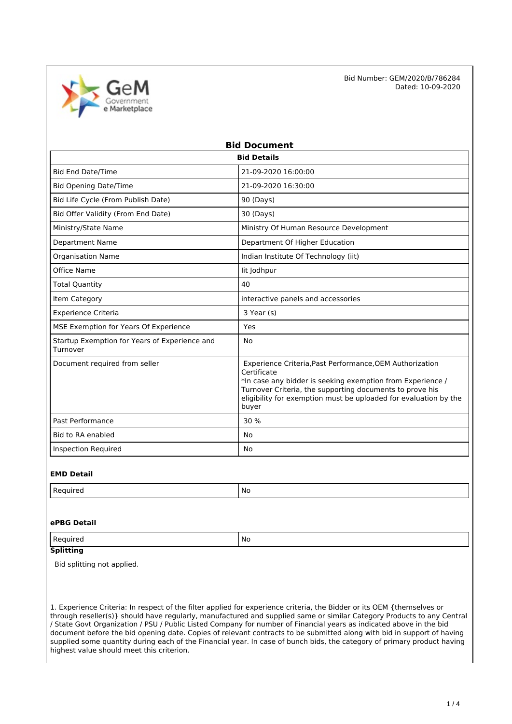

| <b>Bid Document</b>                                       |                                                                                                                                                                                                                                                                                |  |  |  |
|-----------------------------------------------------------|--------------------------------------------------------------------------------------------------------------------------------------------------------------------------------------------------------------------------------------------------------------------------------|--|--|--|
| <b>Bid Details</b>                                        |                                                                                                                                                                                                                                                                                |  |  |  |
| <b>Bid End Date/Time</b>                                  | 21-09-2020 16:00:00                                                                                                                                                                                                                                                            |  |  |  |
| <b>Bid Opening Date/Time</b>                              | 21-09-2020 16:30:00                                                                                                                                                                                                                                                            |  |  |  |
| Bid Life Cycle (From Publish Date)                        | 90 (Days)                                                                                                                                                                                                                                                                      |  |  |  |
| Bid Offer Validity (From End Date)                        | 30 (Days)                                                                                                                                                                                                                                                                      |  |  |  |
| Ministry/State Name                                       | Ministry Of Human Resource Development                                                                                                                                                                                                                                         |  |  |  |
| <b>Department Name</b>                                    | Department Of Higher Education                                                                                                                                                                                                                                                 |  |  |  |
| <b>Organisation Name</b>                                  | Indian Institute Of Technology (iit)                                                                                                                                                                                                                                           |  |  |  |
| Office Name                                               | lit Jodhpur                                                                                                                                                                                                                                                                    |  |  |  |
| <b>Total Quantity</b>                                     | 40                                                                                                                                                                                                                                                                             |  |  |  |
| Item Category                                             | interactive panels and accessories                                                                                                                                                                                                                                             |  |  |  |
| <b>Experience Criteria</b>                                | 3 Year (s)                                                                                                                                                                                                                                                                     |  |  |  |
| MSE Exemption for Years Of Experience                     | Yes                                                                                                                                                                                                                                                                            |  |  |  |
| Startup Exemption for Years of Experience and<br>Turnover | <b>No</b>                                                                                                                                                                                                                                                                      |  |  |  |
| Document required from seller                             | Experience Criteria, Past Performance, OEM Authorization<br>Certificate<br>*In case any bidder is seeking exemption from Experience /<br>Turnover Criteria, the supporting documents to prove his<br>eligibility for exemption must be uploaded for evaluation by the<br>buyer |  |  |  |
| Past Performance                                          | 30 %                                                                                                                                                                                                                                                                           |  |  |  |
| <b>Bid to RA enabled</b>                                  | <b>No</b>                                                                                                                                                                                                                                                                      |  |  |  |
| <b>Inspection Required</b>                                | No                                                                                                                                                                                                                                                                             |  |  |  |

#### **EMD Detail**

| $\cdot$ n $\sim$<br>.<br>٢e<br>,,,,,<br>. | .No<br>__ |
|-------------------------------------------|-----------|

### **ePBG Detail**

| ' No<br>ىد .<br> |  |
|------------------|--|
|------------------|--|

## **Splitting**

Bid splitting not applied.

1. Experience Criteria: In respect of the filter applied for experience criteria, the Bidder or its OEM {themselves or through reseller(s)} should have regularly, manufactured and supplied same or similar Category Products to any Central / State Govt Organization / PSU / Public Listed Company for number of Financial years as indicated above in the bid document before the bid opening date. Copies of relevant contracts to be submitted along with bid in support of having supplied some quantity during each of the Financial year. In case of bunch bids, the category of primary product having highest value should meet this criterion.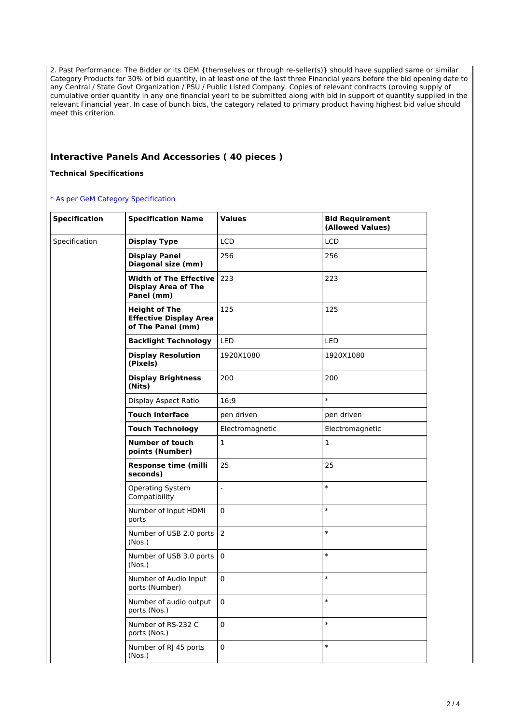2. Past Performance: The Bidder or its OEM {themselves or through re-seller(s)} should have supplied same or similar Category Products for 30% of bid quantity, in at least one of the last three Financial years before the bid opening date to any Central / State Govt Organization / PSU / Public Listed Company. Copies of relevant contracts (proving supply of cumulative order quantity in any one financial year) to be submitted along with bid in support of quantity supplied in the relevant Financial year. In case of bunch bids, the category related to primary product having highest bid value should meet this criterion.

## **Interactive Panels And Accessories ( 40 pieces )**

#### **Technical Specifications**

#### [\\* As per GeM Category Specification](https://bidplus.gem.gov.in/bidding/bid/showCatalogue/fg9p9veXyR7FmLisPXeuvJu_Qxx8ZzYhpAiY23zbPic)

| <b>Specification</b> | <b>Specification Name</b>                                                     | <b>Values</b>   | <b>Bid Requirement</b><br>(Allowed Values) |
|----------------------|-------------------------------------------------------------------------------|-----------------|--------------------------------------------|
| Specification        | <b>Display Type</b>                                                           | <b>LCD</b>      | <b>LCD</b>                                 |
|                      | <b>Display Panel</b><br>Diagonal size (mm)                                    | 256             | 256                                        |
|                      | <b>Width of The Effective 223</b><br><b>Display Area of The</b><br>Panel (mm) |                 | 223                                        |
|                      | <b>Height of The</b><br><b>Effective Display Area</b><br>of The Panel (mm)    | 125             | 125                                        |
|                      | <b>Backlight Technology</b>                                                   | LED             | LED                                        |
|                      | <b>Display Resolution</b><br>(Pixels)                                         | 1920X1080       | 1920X1080                                  |
|                      | <b>Display Brightness</b><br>(Nits)                                           | 200             | 200                                        |
|                      | Display Aspect Ratio                                                          | 16:9            | $\ast$                                     |
|                      | <b>Touch interface</b>                                                        | pen driven      | pen driven                                 |
|                      | <b>Touch Technology</b>                                                       | Electromagnetic | Electromagnetic                            |
|                      | <b>Number of touch</b><br>points (Number)                                     | $\mathbf{1}$    | $\mathbf{1}$                               |
|                      | <b>Response time (milli</b><br>seconds)                                       | 25              | 25                                         |
|                      | Operating System<br>Compatibility                                             | $\overline{a}$  | $\ast$                                     |
|                      | Number of Input HDMI<br>ports                                                 | $\mathbf 0$     | $\ast$                                     |
|                      | Number of USB 2.0 ports<br>(Nos.)                                             | 2               | $\ast$                                     |
|                      | Number of USB 3.0 ports<br>(Nos.)                                             | $\mathsf 0$     | $\ast$                                     |
|                      | Number of Audio Input<br>ports (Number)                                       | $\mathbf 0$     | $\ast$                                     |
|                      | Number of audio output<br>ports (Nos.)                                        | $\pmb{0}$       | $\ast$                                     |
|                      | Number of RS-232 C<br>ports (Nos.)                                            | $\pmb{0}$       | $\ast$                                     |
|                      | Number of RJ 45 ports<br>(Nos.)                                               | $\pmb{0}$       | $\ast$                                     |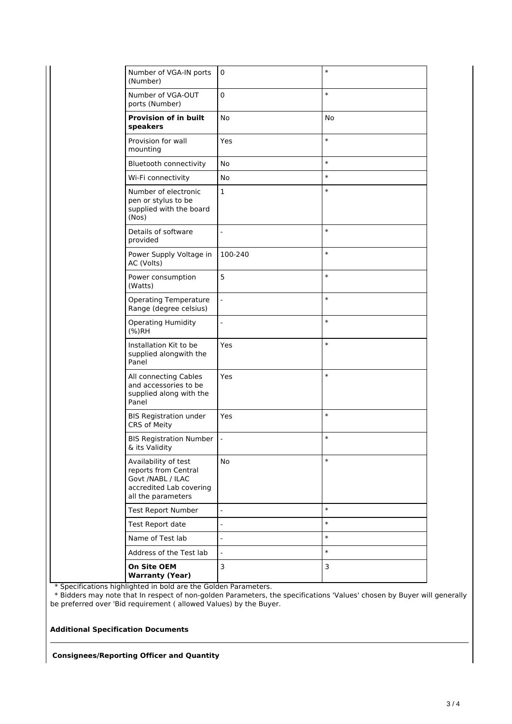| Number of VGA-IN ports<br>(Number)                                                                                 | 0                        | $\ast$ |
|--------------------------------------------------------------------------------------------------------------------|--------------------------|--------|
| Number of VGA-OUT<br>ports (Number)                                                                                | 0                        | $\ast$ |
| <b>Provision of in built</b><br>speakers                                                                           | <b>No</b>                | No     |
| Provision for wall<br>mounting                                                                                     | Yes                      | $\ast$ |
| <b>Bluetooth connectivity</b>                                                                                      | No                       | $\ast$ |
| Wi-Fi connectivity                                                                                                 | No                       | $\ast$ |
| Number of electronic<br>pen or stylus to be<br>supplied with the board<br>(Nos)                                    | $\mathbf{1}$             | $\ast$ |
| Details of software<br>provided                                                                                    | $\overline{a}$           | $\ast$ |
| Power Supply Voltage in<br>AC (Volts)                                                                              | 100-240                  | $\ast$ |
| Power consumption<br>(Watts)                                                                                       | 5                        | $\ast$ |
| <b>Operating Temperature</b><br>Range (degree celsius)                                                             | $\sim$                   | $\ast$ |
| <b>Operating Humidity</b><br>(%)RH                                                                                 | $\frac{1}{2}$            | $\ast$ |
| Installation Kit to be<br>supplied alongwith the<br>Panel                                                          | Yes                      | $\ast$ |
| All connecting Cables<br>and accessories to be<br>supplied along with the<br>Panel                                 | Yes                      | $\ast$ |
| <b>BIS Registration under</b><br>CRS of Meity                                                                      | Yes                      | $\ast$ |
| <b>BIS Registration Number</b><br>& its Validity                                                                   | $\overline{\phantom{a}}$ | $\ast$ |
| Availability of test<br>reports from Central<br>Govt /NABL / ILAC<br>accredited Lab covering<br>all the parameters | No                       | $\ast$ |
| <b>Test Report Number</b>                                                                                          | $\overline{a}$           | $\ast$ |
| Test Report date                                                                                                   | $\overline{a}$           | $\ast$ |
| Name of Test lab                                                                                                   | $\overline{a}$           | $\ast$ |
| Address of the Test lab                                                                                            | $\overline{a}$           | $\ast$ |
| On Site OEM<br><b>Warranty (Year)</b>                                                                              | 3                        | 3      |
|                                                                                                                    |                          |        |

\* Specifications highlighted in bold are the Golden Parameters.

 \* Bidders may note that In respect of non-golden Parameters, the specifications 'Values' chosen by Buyer will generally be preferred over 'Bid requirement ( allowed Values) by the Buyer.

#### **Additional Specification Documents**

**Consignees/Reporting Officer and Quantity**